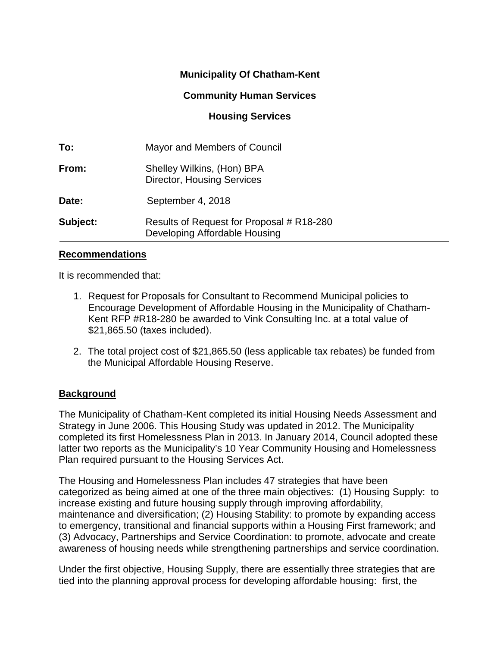# **Municipality Of Chatham-Kent**

## **Community Human Services**

## **Housing Services**

| To:      | Mayor and Members of Council                                               |  |
|----------|----------------------------------------------------------------------------|--|
| From:    | Shelley Wilkins, (Hon) BPA<br><b>Director, Housing Services</b>            |  |
| Date:    | September 4, 2018                                                          |  |
| Subject: | Results of Request for Proposal # R18-280<br>Developing Affordable Housing |  |

#### **Recommendations**

It is recommended that:

- 1. Request for Proposals for Consultant to Recommend Municipal policies to Encourage Development of Affordable Housing in the Municipality of Chatham-Kent RFP #R18-280 be awarded to Vink Consulting Inc. at a total value of \$21,865.50 (taxes included).
- 2. The total project cost of \$21,865.50 (less applicable tax rebates) be funded from the Municipal Affordable Housing Reserve.

### **Background**

The Municipality of Chatham-Kent completed its initial Housing Needs Assessment and Strategy in June 2006. This Housing Study was updated in 2012. The Municipality completed its first Homelessness Plan in 2013. In January 2014, Council adopted these latter two reports as the Municipality's 10 Year Community Housing and Homelessness Plan required pursuant to the Housing Services Act.

The Housing and Homelessness Plan includes 47 strategies that have been categorized as being aimed at one of the three main objectives: (1) Housing Supply: to increase existing and future housing supply through improving affordability, maintenance and diversification; (2) Housing Stability: to promote by expanding access to emergency, transitional and financial supports within a Housing First framework; and (3) Advocacy, Partnerships and Service Coordination: to promote, advocate and create awareness of housing needs while strengthening partnerships and service coordination.

Under the first objective, Housing Supply, there are essentially three strategies that are tied into the planning approval process for developing affordable housing: first, the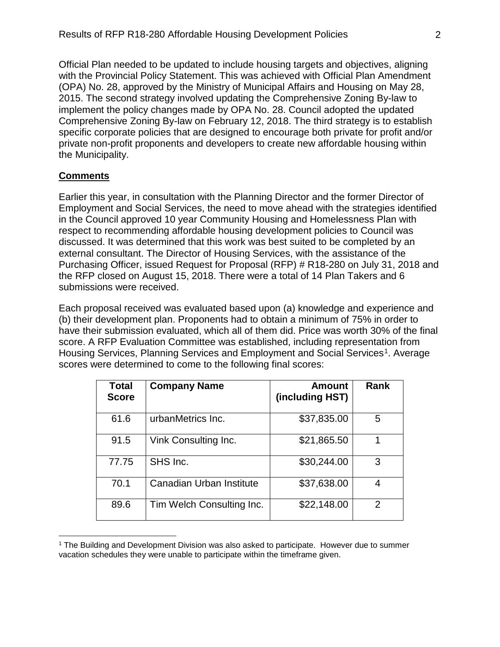Official Plan needed to be updated to include housing targets and objectives, aligning with the Provincial Policy Statement. This was achieved with Official Plan Amendment (OPA) No. 28, approved by the Ministry of Municipal Affairs and Housing on May 28, 2015. The second strategy involved updating the Comprehensive Zoning By-law to implement the policy changes made by OPA No. 28. Council adopted the updated Comprehensive Zoning By-law on February 12, 2018. The third strategy is to establish specific corporate policies that are designed to encourage both private for profit and/or private non-profit proponents and developers to create new affordable housing within the Municipality.

### **Comments**

Earlier this year, in consultation with the Planning Director and the former Director of Employment and Social Services, the need to move ahead with the strategies identified in the Council approved 10 year Community Housing and Homelessness Plan with respect to recommending affordable housing development policies to Council was discussed. It was determined that this work was best suited to be completed by an external consultant. The Director of Housing Services, with the assistance of the Purchasing Officer, issued Request for Proposal (RFP) # R18-280 on July 31, 2018 and the RFP closed on August 15, 2018. There were a total of 14 Plan Takers and 6 submissions were received.

Each proposal received was evaluated based upon (a) knowledge and experience and (b) their development plan. Proponents had to obtain a minimum of 75% in order to have their submission evaluated, which all of them did. Price was worth 30% of the final score. A RFP Evaluation Committee was established, including representation from Housing Services, Planning Services and Employment and Social Services<sup>[1](#page-1-0)</sup>. Average scores were determined to come to the following final scores:

| <b>Total</b><br><b>Score</b> | <b>Company Name</b>       | Amount<br>(including HST) | <b>Rank</b>   |
|------------------------------|---------------------------|---------------------------|---------------|
| 61.6                         | urbanMetrics Inc.         | \$37,835.00               | 5             |
| 91.5                         | Vink Consulting Inc.      | \$21,865.50               |               |
| 77.75                        | SHS Inc.                  | \$30,244.00               | 3             |
| 70.1                         | Canadian Urban Institute  | \$37,638.00               | 4             |
| 89.6                         | Tim Welch Consulting Inc. | \$22,148.00               | $\mathcal{P}$ |

<span id="page-1-0"></span> $\overline{a}$ <sup>1</sup> The Building and Development Division was also asked to participate. However due to summer vacation schedules they were unable to participate within the timeframe given.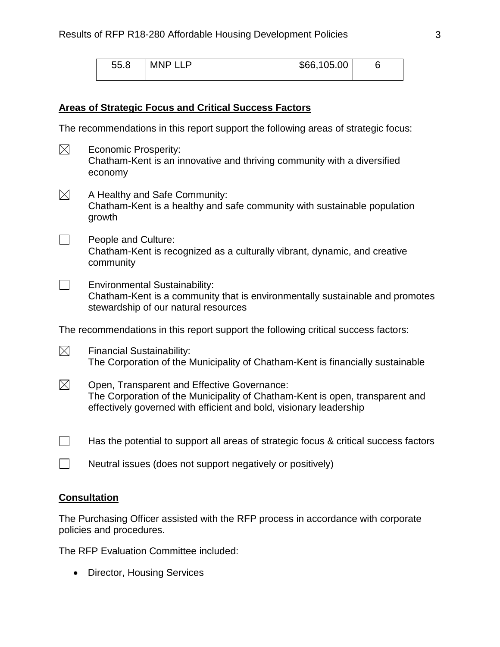| 55.8 | <b>MNP LLP</b> | \$66,105.00 |  |
|------|----------------|-------------|--|
|      |                |             |  |

#### **Areas of Strategic Focus and Critical Success Factors**

The recommendations in this report support the following areas of strategic focus:

- $\boxtimes$  Economic Prosperity: Chatham-Kent is an innovative and thriving community with a diversified economy
- $\boxtimes$  A Healthy and Safe Community: Chatham-Kent is a healthy and safe community with sustainable population growth
- $\Box$  People and Culture: Chatham-Kent is recognized as a culturally vibrant, dynamic, and creative community
- $\Box$  Environmental Sustainability: Chatham-Kent is a community that is environmentally sustainable and promotes stewardship of our natural resources

The recommendations in this report support the following critical success factors:

- $\boxtimes$  Financial Sustainability: The Corporation of the Municipality of Chatham-Kent is financially sustainable
- $\boxtimes$  Open, Transparent and Effective Governance: The Corporation of the Municipality of Chatham-Kent is open, transparent and effectively governed with efficient and bold, visionary leadership
- $\Box$  Has the potential to support all areas of strategic focus & critical success factors
- $\Box$  Neutral issues (does not support negatively or positively)

#### **Consultation**

The Purchasing Officer assisted with the RFP process in accordance with corporate policies and procedures.

The RFP Evaluation Committee included:

• Director, Housing Services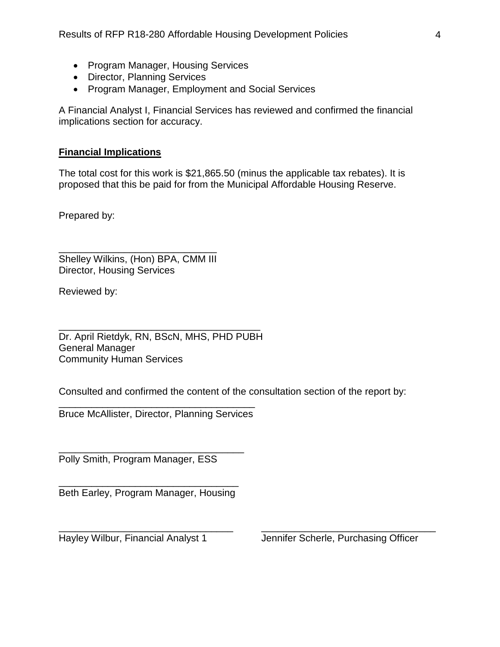- Program Manager, Housing Services
- Director, Planning Services
- Program Manager, Employment and Social Services

A Financial Analyst I, Financial Services has reviewed and confirmed the financial implications section for accuracy.

## **Financial Implications**

The total cost for this work is \$21,865.50 (minus the applicable tax rebates). It is proposed that this be paid for from the Municipal Affordable Housing Reserve.

Prepared by:

\_\_\_\_\_\_\_\_\_\_\_\_\_\_\_\_\_\_\_\_\_\_\_\_\_\_\_\_\_ Shelley Wilkins, (Hon) BPA, CMM III Director, Housing Services

Reviewed by:

\_\_\_\_\_\_\_\_\_\_\_\_\_\_\_\_\_\_\_\_\_\_\_\_\_\_\_\_\_\_\_\_\_\_\_\_\_ Dr. April Rietdyk, RN, BScN, MHS, PHD PUBH General Manager Community Human Services

Consulted and confirmed the content of the consultation section of the report by:

\_\_\_\_\_\_\_\_\_\_\_\_\_\_\_\_\_\_\_\_\_\_\_\_\_\_\_\_\_\_\_\_ \_\_\_\_\_\_\_\_\_\_\_\_\_\_\_\_\_\_\_\_\_\_\_\_\_\_\_\_\_\_\_\_

\_\_\_\_\_\_\_\_\_\_\_\_\_\_\_\_\_\_\_\_\_\_\_\_\_\_\_\_\_\_\_\_\_\_\_\_ Bruce McAllister, Director, Planning Services

\_\_\_\_\_\_\_\_\_\_\_\_\_\_\_\_\_\_\_\_\_\_\_\_\_\_\_\_\_\_\_\_\_\_ Polly Smith, Program Manager, ESS

\_\_\_\_\_\_\_\_\_\_\_\_\_\_\_\_\_\_\_\_\_\_\_\_\_\_\_\_\_\_\_\_\_ Beth Earley, Program Manager, Housing

Hayley Wilbur, Financial Analyst 1 Jennifer Scherle, Purchasing Officer